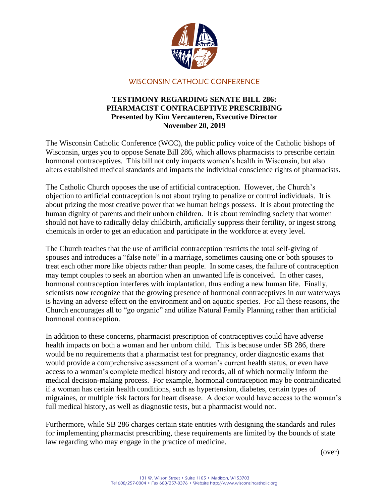

## WISCONSIN CATHOLIC CONFERENCE

## **TESTIMONY REGARDING SENATE BILL 286: PHARMACIST CONTRACEPTIVE PRESCRIBING Presented by Kim Vercauteren, Executive Director November 20, 2019**

The Wisconsin Catholic Conference (WCC), the public policy voice of the Catholic bishops of Wisconsin, urges you to oppose Senate Bill 286, which allows pharmacists to prescribe certain hormonal contraceptives. This bill not only impacts women's health in Wisconsin, but also alters established medical standards and impacts the individual conscience rights of pharmacists.

The Catholic Church opposes the use of artificial contraception. However, the Church's objection to artificial contraception is not about trying to penalize or control individuals. It is about prizing the most creative power that we human beings possess. It is about protecting the human dignity of parents and their unborn children. It is about reminding society that women should not have to radically delay childbirth, artificially suppress their fertility, or ingest strong chemicals in order to get an education and participate in the workforce at every level.

The Church teaches that the use of artificial contraception restricts the total self-giving of spouses and introduces a "false note" in a marriage, sometimes causing one or both spouses to treat each other more like objects rather than people. In some cases, the failure of contraception may tempt couples to seek an abortion when an unwanted life is conceived. In other cases, hormonal contraception interferes with implantation, thus ending a new human life. Finally, scientists now recognize that the growing presence of hormonal contraceptives in our waterways is having an adverse effect on the environment and on aquatic species. For all these reasons, the Church encourages all to "go organic" and utilize Natural Family Planning rather than artificial hormonal contraception.

In addition to these concerns, pharmacist prescription of contraceptives could have adverse health impacts on both a woman and her unborn child. This is because under SB 286, there would be no requirements that a pharmacist test for pregnancy, order diagnostic exams that would provide a comprehensive assessment of a woman's current health status, or even have access to a woman's complete medical history and records, all of which normally inform the medical decision-making process. For example, hormonal contraception may be contraindicated if a woman has certain health conditions, such as hypertension, diabetes, certain types of migraines, or multiple risk factors for heart disease. A doctor would have access to the woman's full medical history, as well as diagnostic tests, but a pharmacist would not.

Furthermore, while SB 286 charges certain state entities with designing the standards and rules for implementing pharmacist prescribing, these requirements are limited by the bounds of state law regarding who may engage in the practice of medicine.

(over)